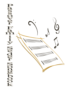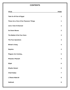#### **CONTENTS**

| <u>TITLE</u>                           | <b>PAGE</b>             |
|----------------------------------------|-------------------------|
| Take Us All Out of Egypt               | 1                       |
| These Are a Few of Our Passover Things | 1                       |
| <b>Just a Tad of Charoset</b>          | $\mathbf{2}$            |
| <b>Go Down Moses</b>                   | $\mathbf{2}$            |
| The Ballad of the Four Sons            | $\mathbf{3}$            |
| <b>The Four Questions</b>              | $\mathbf{3}$            |
| <b>Miriam's Song</b>                   | $\overline{\mathbf{4}}$ |
| <b>Dayeinu</b>                         | $\overline{\mathbf{4}}$ |
| <b>Plagues Are Coming</b>              | 5                       |
| Pharaoh, Pharaoh                       | 5                       |
| Elijah                                 | 6                       |
| Eliyahu Hanavi                         | 6                       |
| <b>Chad Gadya</b>                      | 7                       |
| L'Shana Haba'ah                        | 8                       |
| <b>Hatikvah</b>                        | 8                       |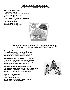## **Take Us All Out of Egypt**

(Sung to the tune of "Take Me Out to the Ball Game")

**Take us all out of Egypt, Free us from slav-er-y, Bake us some matzah in such a haste, Don't worry 'bout flavor -- Give no thought to taste, Oh it's rush, rush, rush, to the Red Sea If we don't cross it's a shame, For it's ten plagues, Down and you're out, At the Pesach history game.** 



#### **These Are a Few of Our Passover Things**

(Sung to the tune of "These are a few of my favorite things")

**Cleaning and cooking and so many dishes Out with the** *chameitz***, no pasta, no knishes Fish that's gefillted, horseradish that stings These are a few of our Passover things.** 

**Matzah and** *karpas* **and chopped up** *charoset* **Shankbones and kiddish and Yiddish neuroses Bubbie, who k'vetches, and uncles who sing: These are a few of our Passover things.** 

*Motzi* **and** *maror* **and trouble with Pharaohs Famines and locusts and slaves with wheelbarrows Matzah balls floating and eggshell that clings Theses are a few of our Passover things.** 

**When the plagues strike When the lice bite When we're feeling sad We simply remember our Passover things And then we don't feel so bad.** 

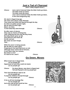# **Go Down, Moses**

**When Israel was in Egypt land, Let my people go! Oppressed so hard they could not stand, Let my people go!** 

*Chorus:* **Go down Moses, way down in Egypt land Tell old Pharaoh to let my people go!** 

**Then God told Moses what to do Let my people go! To lead the children of Israel through Let my people go!** *Chorus:*

**O let us all from bondage flee Let my people go! And soon may all this world be free, Let my people go!** *Chorus:*



# **Just a Tad of** *Charoset*

**(from "A Mary Poppins Purim")** 

*Chorus:* **Just a tad of** *charoset* **helps the bitter herbs go down, The bitter herbs go down, The bitter herbs go down. Just a tad of** *charoset* **helps the bitter herbs go down, In the most disguising way.** 

**Oh, back in Egypt long ago,** 

**The Jews were slaves under Pharaoh. They sweat and toiled and labored through the day. So when we gather pesach night, We do what we think right.**  *Maror***, we chew, To feel what they went through.** *Chorus:*

**So after years of slavery They saw no chance of being free. Their suffering was the only life they knew. But baby Moses grew up tall, And said he'd save them all. He did, and yet, We swear we won't forget. That…** *Chorus:*

**While the** *maror* **is being passed, We all refill our water glass, Preparing for the taste that turns us red. Although** *maror* **seems full of minuses, It sure does clear our sinuses. But what's to do? It's hard to be a Jew!!!** *Chorus:*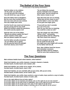## **The Ballad of the Four Sons**

(To the tune of "My Darling Clementine")

**Said the father to his children "At the seder you will dine, You will eat your fill of matzah You will drink four cups of wine."** 

**Now this father had no daughters, But his sons they numbered four. One was wise and one was wicked, One was simple and a bore.** 

**And the fourth was sweet and winsome, He was young and he was small. While his brothers asked the questions, He could scarcely speak at all.** 

**Said the wise son of his father, "Would you please explain the laws? Of the customs of the seder Will you please explain the cause?"** 

**And the father proudly answered, "As our fathers ate in speed. Ate the paschal lamb till midnight And from slavery were freed."** 

**"So we follow the example And by midnight must complete All the seder, and we should not After twelve remain to eat."** 

**Then did sneer the son so wicked, "What does all this mean to you?" And the father's voice was bitter As his grief and anger grew.** 

**"If yourself you don't consider As a son of Is-ra-el, Then for you this has no meaning, You could be a slave as well."** 

**Then the simple son said simply, "What is this?" and quietly, The good father told his offspring, "We were freed from slavery."** 

**But the youngest son was silent For he could not ask at all, His bright eyes were bright with wonder As his father told him all.** 

**Now, dear children heed the lesson. And remember evermore: What the father told his children, Told his sons that numbered four.** 

# **The Four Questions**

**Mah nishtana halaila hazeh mikol haleilot, mikol haleilot?** 

**Sheb'chol haleilot, anu ochlin chametz u'matzah, chametz u'matzah, Ha-laila hazeh, ha-laila hazeh, kulo matzah. (2X)** 

**Sheb'chol haleilot, anu ochlin sh'ar yirakot, sh'ar yirakot, Ha-laila hazeh, ha-laila hazeh, maror. (2X)** 

**Sheb'chol haleilot, ein anu mat'bilin afilu pa-am echat, afilu pa-am echat, Ha'laila hazeh, ha'laila hazeh, sh'tei f'amim. (2X)** 

**Sheb'chol haleilot, anu ochlin, beyn yoshvin u-veyn m'subin, beyn yoshvin u-veyn m'subin, Ha-laila hazeh, ha-laila hazeh, kulanu m'subin. (2X)** 

*How is this night different from all other nights? On all other nights we eat* **chameitz** *and matzah, why on this night do we eat only matzah? On all other nights we eat other kinds of vegetables, why on this night do we eat only* **maror***? On all other nights we do not dip even once, why on this night do we dip twice? On all other nights we eat either sitting or reclining, why on this night do we all recline?*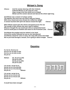# **Miriam's Song**

*Chorus***: And the woman dancing with their timbrels Followed Miriam as she sang her song Sing a song to the One whom we've exalted Miriam and the women danced and danced the whole night long.** 

**And Miriam was a weaver of unique variety The tapestry she wove was one which sang our history With every strand and every thread she crafted her delight A woman touched with spirit she dances toward the light.** *Chorus:*

**When Miriam stood upon the shores and gazed across the sea The wonder of this miracle she soon came to believe Whoever thought the sea would part with an outstretched hand And we would pass to freedom and march to the Promised Land.** *Chorus:* 



**And Miriam the prophet took her timbrel in her hand And all the women followed her just as she had planned And Miriam raised her voice in song, she sang with praise and might We've just lived through a miracle, we're going to dance tonight.** *Chorus:*

#### **Dayeinu**

**Il-u ho-tzi, Ho-tzi-a-nu Ho-tzi-a-nu mi-mitz-ra-yim Ho-tzi-a-nu mi-mitz-ra-yim Da-yei-nu** 

*Refrain:* **Da, da-yei-nu (3X) Da-yei-nu (3X) Da-da-yei-nu (3X) Da-yei-nu (2X)** 

**I-lu na-tan, na-tan la-nu, Na-tan la-nu et ha-sha-bat, Na-tan la-nu et ha-sha-bat, Da-yei-nu.** *Refrain:* 

**I-lu na-tan, na-tan la-nu Na-tan la-nu et ha-to-rah Na-tan la-nu et ha-to-rah Da-yei-nu** *Refrain:* 

*It would have been enough!* 

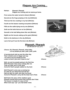# **Plagues Are Coming…**

#### **(Dayo)**

**Refrain: Pharaoh, Pharaoh** 

**Plagues are coming and we wanna go home.** 

**First comes the water turned to blood, (Refrain)** 

**Second are the frogs jumping in the mud (Refrain)** 

**Third are the lice crawling in my hair (Refrain)** 

**Fourth are the beasts roaming everywhere (Refrain)** 

**Fifth are the cattle dying one by one (Refrain)** 

**Sixth are the boils that are no fun (Refrain)** 

**Seventh is the hail falling down like rain (Refrain)** 

**Eighth are the locusts eating up the grain (Refrain)** 

**Ninth is the darkness in the sky (Refrain)** 

**Last of all you'll see the first born die (Refrain)** 





**(To the tune of "Lui, Lui")** 

*Chorus:* **Oh, Pharaoh, Pharaoh, whoa baby, Let my people go yeah, yeah, yeah, yeah.** 

**A burning bush told me just the other day That I should come to Egypt and say: "It's time to let my people be free Listen to God if you won't listen to me."** *Chorus:*

**Well, me and my people going to the Red Sea With Pharaoh's best army coming after me Took my staff, put it in the sand And all of God's people walked on dry land.** *Chorus:*

**Well Pharaoh's army was a-coming too So what do you think that God did do? Had me take my staff, and clear my throat And all of Pharaoh's army did the dead man's float.** *Chorus:*

**Well that's the story of the stubborn goat Pharaoh should have known that chariots don't float The lesson is simple it's easy to find When God says "go" you had better mind.** 

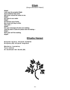**Elijah** (Sung to the tune of "Maria")

**Elijah! I just saw the prophet Elijah And suddenly that name Will never sound the same to me. Elijah! He came to our seder Elijah! He had his cup of wine, But could not stay to dine This year— Elijah! For your message all Jews are waiting: That the time's come for peace and not hating— Elijah— Next year we'll be waiting. Elijah!** 

# **Eliyahu Hanavi**

**Ei-li-ya-hu ha-na-vi, ei-li-ya-hu ha-tish-bi Ei-li-ya-hu, (2X) ei-li-ya-hu ha-gi-la-di** 

**Bim-hei-ra v'-ya-mei-nu, Ya-vo ei-lei-nu Im ma-shi-ach ben Da-vid. (2X)** 

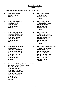## **Chad Gadya**

**(An Only Kid)** 

#### *Chorus:* **My father bought for two** *Zuzim Chad Gadya*

- **1. Then came the cat 2. Then came the dog**
- **3. Then came the stick 4. Then came the fire That bit the cat That beat the dog That ate the kid That bit the cat**  *Chorus:* **That ate the kid**
- **5. Then came the water 6. Then came the ox That bit the cat That beat the dog That beat the dog That beat the dog That beat the dog That beat the dog That beat the dog That beat the dog That beat the dog That beat the dog That beat the dog That beat the dog That b That ate the kid That bit the cat**  *Chorus:* **That ate the kid**
- And killed the ox **And slew the butcher And slew the butcher That drank the water That killed the ox That killed the ox That quenched the fire That drank the water** That burned the stick That quenched the fire  **That beat the dog That burned the stick That bit the cat That beat the dog That ate the kid Than bit the cat** *Chorus:* **That ate the kid**
- **9. Then came the Holy One, blessed be He, And destroyed the angel of death That slew the butcher That killed the ox That drank the water That quenched the fire That burned the stick That beat the dog That bit the cat That ate the kid**  *Chorus:*
- And ate the kid **And bit the cat** *Chorus:* **That ate the kid** *Chorus:*
- And beat the dog **And burned the stick And burned the stick** *Chorus:*
- And quenched the fire **And drank the water** And drank the water That burned the stick That quenched the fire  **That beat the dog That burned the stick** *Chorus:*
- **7. Then came the butcher 8. Then came the angel of death** *Chorus:*